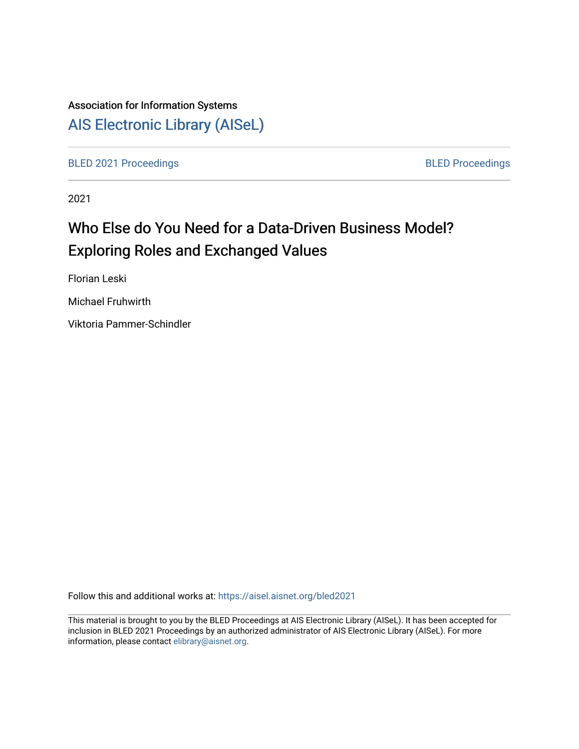# Association for Information Systems

[AIS Electronic Library \(AISeL\)](https://aisel.aisnet.org/)

[BLED 2021 Proceedings](https://aisel.aisnet.org/bled2021) **BLED Proceedings** 

2021

# Who Else do You Need for a Data-Driven Business Model? Exploring Roles and Exchanged Values

Florian Leski

Michael Fruhwirth

Viktoria Pammer-Schindler

Follow this and additional works at: [https://aisel.aisnet.org/bled2021](https://aisel.aisnet.org/bled2021?utm_source=aisel.aisnet.org%2Fbled2021%2F38&utm_medium=PDF&utm_campaign=PDFCoverPages) 

This material is brought to you by the BLED Proceedings at AIS Electronic Library (AISeL). It has been accepted for inclusion in BLED 2021 Proceedings by an authorized administrator of AIS Electronic Library (AISeL). For more information, please contact [elibrary@aisnet.org.](mailto:elibrary@aisnet.org%3E)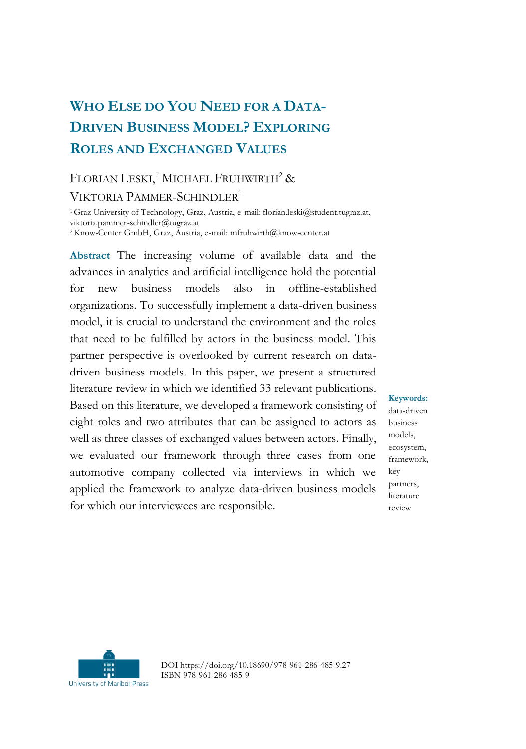# **WHO ELSE DO YOU NEED FOR A DATA-DRIVEN BUSINESS MODEL? EXPLORING ROLES AND EXCHANGED VALUES**

# FLORIAN LESKI,<sup>1</sup> MICHAEL FRUHWIRTH<sup>2</sup> & VIKTORIA PAMMER-SCHINDLER<sup>1</sup>

<sup>1</sup> Graz University of Technology, Graz, Austria, e-mail: florian.leski@student.tugraz.at, viktoria.pammer-schindler@tugraz.at

<sup>2</sup>Know-Center GmbH, Graz, Austria, e-mail: mfruhwirth@know-center.at

**Abstract** The increasing volume of available data and the advances in analytics and artificial intelligence hold the potential for new business models also in offline-established organizations. To successfully implement a data-driven business model, it is crucial to understand the environment and the roles that need to be fulfilled by actors in the business model. This partner perspective is overlooked by current research on datadriven business models. In this paper, we present a structured literature review in which we identified 33 relevant publications. Based on this literature, we developed a framework consisting of eight roles and two attributes that can be assigned to actors as well as three classes of exchanged values between actors. Finally, we evaluated our framework through three cases from one automotive company collected via interviews in which we applied the framework to analyze data-driven business models for which our interviewees are responsible.

**Keywords:** data-driven business models, ecosystem, framework, key partners, literature review



DOI https://doi.org/10.18690/978-961-286-485-9.27 ISBN 978-961-286-485-9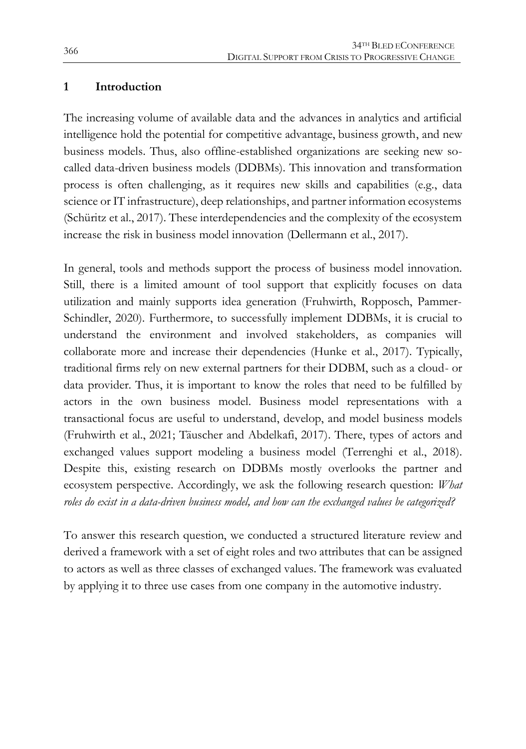# **1 Introduction**

The increasing volume of available data and the advances in analytics and artificial intelligence hold the potential for competitive advantage, business growth, and new business models. Thus, also offline-established organizations are seeking new socalled data-driven business models (DDBMs). This innovation and transformation process is often challenging, as it requires new skills and capabilities (e.g., data science or IT infrastructure), deep relationships, and partner information ecosystems (Schüritz et al., 2017). These interdependencies and the complexity of the ecosystem increase the risk in business model innovation (Dellermann et al., 2017).

In general, tools and methods support the process of business model innovation. Still, there is a limited amount of tool support that explicitly focuses on data utilization and mainly supports idea generation (Fruhwirth, Ropposch, Pammer-Schindler, 2020). Furthermore, to successfully implement DDBMs, it is crucial to understand the environment and involved stakeholders, as companies will collaborate more and increase their dependencies (Hunke et al., 2017). Typically, traditional firms rely on new external partners for their DDBM, such as a cloud- or data provider. Thus, it is important to know the roles that need to be fulfilled by actors in the own business model. Business model representations with a transactional focus are useful to understand, develop, and model business models (Fruhwirth et al., 2021; Täuscher and Abdelkafi, 2017). There, types of actors and exchanged values support modeling a business model (Terrenghi et al., 2018). Despite this, existing research on DDBMs mostly overlooks the partner and ecosystem perspective. Accordingly, we ask the following research question: *What roles do exist in a data-driven business model, and how can the exchanged values be categorized?*

To answer this research question, we conducted a structured literature review and derived a framework with a set of eight roles and two attributes that can be assigned to actors as well as three classes of exchanged values. The framework was evaluated by applying it to three use cases from one company in the automotive industry.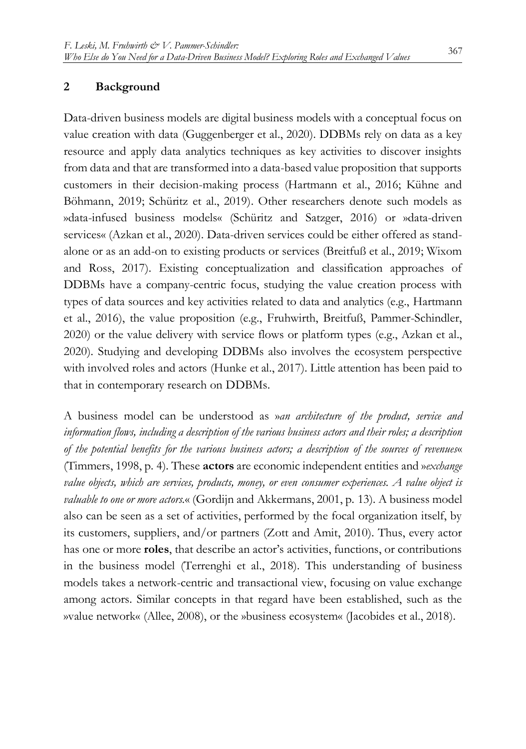#### **2 Background**

Data-driven business models are digital business models with a conceptual focus on value creation with data (Guggenberger et al., 2020). DDBMs rely on data as a key resource and apply data analytics techniques as key activities to discover insights from data and that are transformed into a data-based value proposition that supports customers in their decision-making process (Hartmann et al., 2016; Kühne and Böhmann, 2019; Schüritz et al., 2019). Other researchers denote such models as »data-infused business models« (Schüritz and Satzger, 2016) or »data-driven services« (Azkan et al., 2020). Data-driven services could be either offered as standalone or as an add-on to existing products or services (Breitfuß et al., 2019; Wixom and Ross, 2017). Existing conceptualization and classification approaches of DDBMs have a company-centric focus, studying the value creation process with types of data sources and key activities related to data and analytics (e.g., Hartmann et al., 2016), the value proposition (e.g., Fruhwirth, Breitfuß, Pammer-Schindler, 2020) or the value delivery with service flows or platform types (e.g., Azkan et al., 2020). Studying and developing DDBMs also involves the ecosystem perspective with involved roles and actors (Hunke et al., 2017). Little attention has been paid to that in contemporary research on DDBMs.

A business model can be understood as »*an architecture of the product, service and information flows, including a description of the various business actors and their roles; a description of the potential benefits for the various business actors; a description of the sources of revenues*« (Timmers, 1998, p. 4). These **actors** are economic independent entities and »*exchange value objects, which are services, products, money, or even consumer experiences. A value object is valuable to one or more actors.*« (Gordijn and Akkermans, 2001, p. 13). A business model also can be seen as a set of activities, performed by the focal organization itself, by its customers, suppliers, and/or partners (Zott and Amit, 2010). Thus, every actor has one or more **roles**, that describe an actor's activities, functions, or contributions in the business model (Terrenghi et al., 2018). This understanding of business models takes a network-centric and transactional view, focusing on value exchange among actors. Similar concepts in that regard have been established, such as the »value network« (Allee, 2008), or the »business ecosystem« (Jacobides et al., 2018).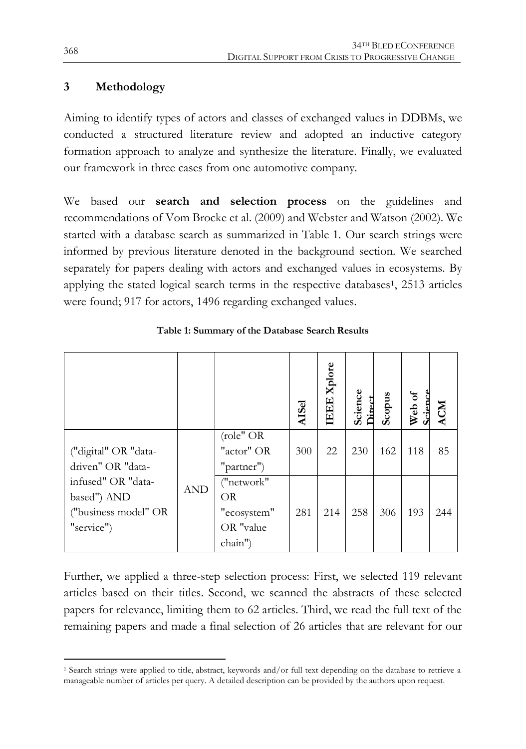# **3 Methodology**

Aiming to identify types of actors and classes of exchanged values in DDBMs, we conducted a structured literature review and adopted an inductive category formation approach to analyze and synthesize the literature. Finally, we evaluated our framework in three cases from one automotive company.

We based our **search and selection process** on the guidelines and recommendations of Vom Brocke et al. (2009) and Webster and Watson (2002). We started with a database search as summarized in Table 1. Our search strings were informed by previous literature denoted in the background section. We searched separately for papers dealing with actors and exchanged values in ecosystems. By applying the stated logical search terms in the respective databases<sup>1</sup>, 2513 articles were found; 917 for actors, 1496 regarding exchanged values.

|                                                                         |            |                                                         | <b>AISel</b> | <b>IEEE</b> Xplore | Science<br>Direct | Scopus | Web of<br>Science | <b>ACM</b> |
|-------------------------------------------------------------------------|------------|---------------------------------------------------------|--------------|--------------------|-------------------|--------|-------------------|------------|
| ("digital" OR "data-<br>driven" OR "data-                               |            | role" OR<br>"actor" OR<br>"partner")                    | 300          | 22                 | 230               | 162    | 118               | 85         |
| infused" OR "data-<br>based") AND<br>("business model" OR<br>"service") | <b>AND</b> | ("network"<br>OR<br>"ecosystem"<br>OR "value<br>chain") | 281          | 214                | 258               | 306    | 193               | 244        |

**Table 1: Summary of the Database Search Results**

Further, we applied a three-step selection process: First, we selected 119 relevant articles based on their titles. Second, we scanned the abstracts of these selected papers for relevance, limiting them to 62 articles. Third, we read the full text of the remaining papers and made a final selection of 26 articles that are relevant for our

 $\overline{a}$ 

<sup>1</sup> Search strings were applied to title, abstract, keywords and/or full text depending on the database to retrieve a manageable number of articles per query. A detailed description can be provided by the authors upon request.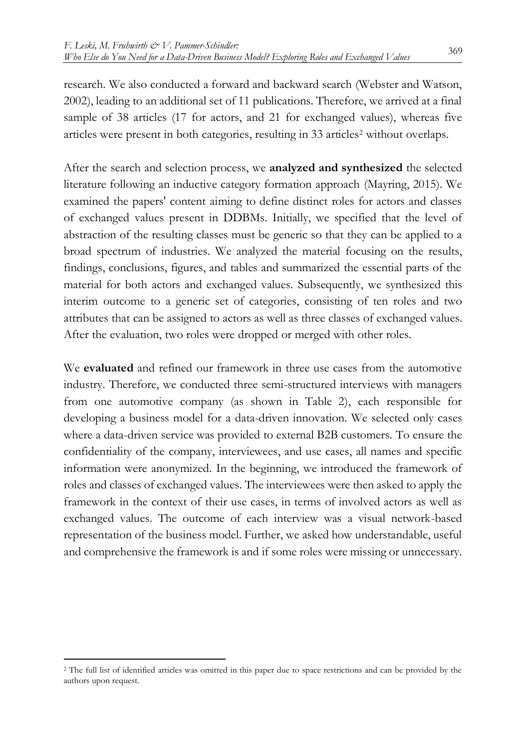research. We also conducted a forward and backward search (Webster and Watson, 2002), leading to an additional set of 11 publications. Therefore, we arrived at a final sample of 38 articles (17 for actors, and 21 for exchanged values), whereas five articles were present in both categories, resulting in 33 articles<sup>2</sup> without overlaps.

After the search and selection process, we **analyzed and synthesized** the selected literature following an inductive category formation approach (Mayring, 2015). We examined the papers' content aiming to define distinct roles for actors and classes of exchanged values present in DDBMs. Initially, we specified that the level of abstraction of the resulting classes must be generic so that they can be applied to a broad spectrum of industries. We analyzed the material focusing on the results, findings, conclusions, figures, and tables and summarized the essential parts of the material for both actors and exchanged values. Subsequently, we synthesized this interim outcome to a generic set of categories, consisting of ten roles and two attributes that can be assigned to actors as well as three classes of exchanged values. After the evaluation, two roles were dropped or merged with other roles.

We **evaluated** and refined our framework in three use cases from the automotive industry. Therefore, we conducted three semi-structured interviews with managers from one automotive company (as shown in Table 2), each responsible for developing a business model for a data-driven innovation. We selected only cases where a data-driven service was provided to external B2B customers. To ensure the confidentiality of the company, interviewees, and use cases, all names and specific information were anonymized. In the beginning, we introduced the framework of roles and classes of exchanged values. The interviewees were then asked to apply the framework in the context of their use cases, in terms of involved actors as well as exchanged values. The outcome of each interview was a visual network-based representation of the business model. Further, we asked how understandable, useful and comprehensive the framework is and if some roles were missing or unnecessary.

 $\overline{a}$ 

<sup>&</sup>lt;sup>2</sup> The full list of identified articles was omitted in this paper due to space restrictions and can be provided by the authors upon request.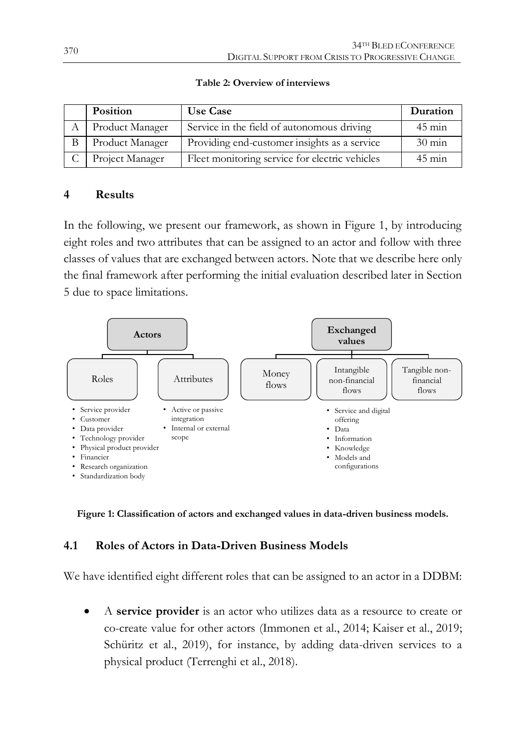| Position            | <b>Use Case</b>                                | Duration         |
|---------------------|------------------------------------------------|------------------|
| A Product Manager   | Service in the field of autonomous driving     | $45 \text{ min}$ |
| Product Manager     | Providing end-customer insights as a service   | $30 \text{ min}$ |
| C   Project Manager | Fleet monitoring service for electric vehicles | $45 \text{ min}$ |

**Table 2: Overview of interviews**

### **4 Results**

In the following, we present our framework, as shown in Figure 1, by introducing eight roles and two attributes that can be assigned to an actor and follow with three classes of values that are exchanged between actors. Note that we describe here only the final framework after performing the initial evaluation described later in Section 5 due to space limitations.



**Figure 1: Classification of actors and exchanged values in data-driven business models.** 

# **4.1 Roles of Actors in Data-Driven Business Models**

We have identified eight different roles that can be assigned to an actor in a DDBM:

 A **service provider** is an actor who utilizes data as a resource to create or co-create value for other actors (Immonen et al., 2014; Kaiser et al., 2019; Schüritz et al., 2019), for instance, by adding data-driven services to a physical product (Terrenghi et al., 2018).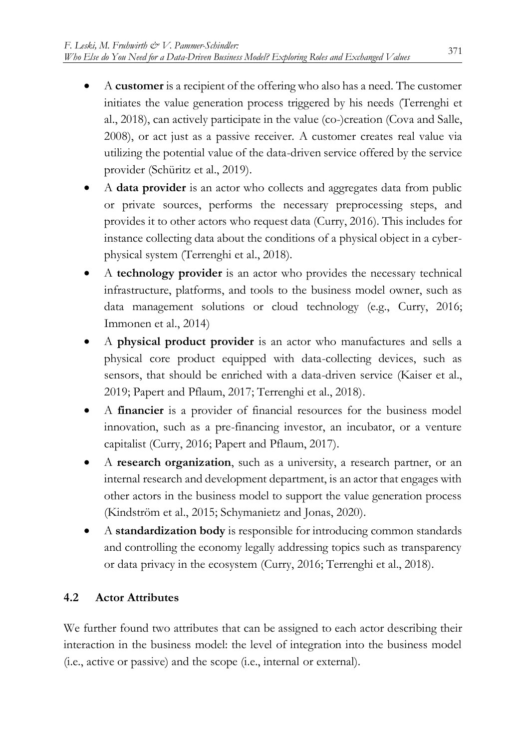- A **customer** is a recipient of the offering who also has a need. The customer initiates the value generation process triggered by his needs (Terrenghi et al., 2018), can actively participate in the value (co-)creation (Cova and Salle, 2008), or act just as a passive receiver. A customer creates real value via utilizing the potential value of the data-driven service offered by the service provider (Schüritz et al., 2019).
- A **data provider** is an actor who collects and aggregates data from public or private sources, performs the necessary preprocessing steps, and provides it to other actors who request data (Curry, 2016). This includes for instance collecting data about the conditions of a physical object in a cyberphysical system (Terrenghi et al., 2018).
- A **technology provider** is an actor who provides the necessary technical infrastructure, platforms, and tools to the business model owner, such as data management solutions or cloud technology (e.g., Curry, 2016; Immonen et al., 2014)
- A **physical product provider** is an actor who manufactures and sells a physical core product equipped with data-collecting devices, such as sensors, that should be enriched with a data-driven service (Kaiser et al., 2019; Papert and Pflaum, 2017; Terrenghi et al., 2018).
- A **financier** is a provider of financial resources for the business model innovation, such as a pre-financing investor, an incubator, or a venture capitalist (Curry, 2016; Papert and Pflaum, 2017).
- A **research organization**, such as a university, a research partner, or an internal research and development department, is an actor that engages with other actors in the business model to support the value generation process (Kindström et al., 2015; Schymanietz and Jonas, 2020).
- A **standardization body** is responsible for introducing common standards and controlling the economy legally addressing topics such as transparency or data privacy in the ecosystem (Curry, 2016; Terrenghi et al., 2018).

# **4.2 Actor Attributes**

We further found two attributes that can be assigned to each actor describing their interaction in the business model: the level of integration into the business model (i.e., active or passive) and the scope (i.e., internal or external).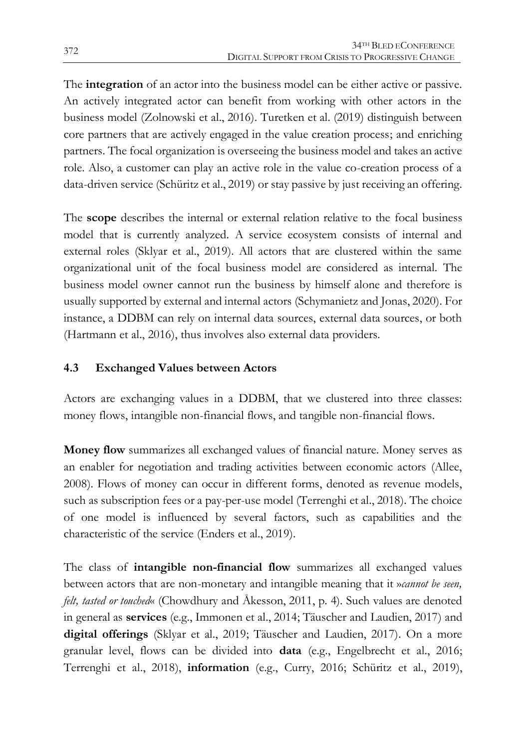The **integration** of an actor into the business model can be either active or passive. An actively integrated actor can benefit from working with other actors in the business model (Zolnowski et al., 2016). Turetken et al. (2019) distinguish between core partners that are actively engaged in the value creation process; and enriching partners. The focal organization is overseeing the business model and takes an active role. Also, a customer can play an active role in the value co-creation process of a data-driven service (Schüritz et al., 2019) or stay passive by just receiving an offering.

The **scope** describes the internal or external relation relative to the focal business model that is currently analyzed. A service ecosystem consists of internal and external roles (Sklyar et al., 2019). All actors that are clustered within the same organizational unit of the focal business model are considered as internal. The business model owner cannot run the business by himself alone and therefore is usually supported by external and internal actors (Schymanietz and Jonas, 2020). For instance, a DDBM can rely on internal data sources, external data sources, or both (Hartmann et al., 2016), thus involves also external data providers.

# **4.3 Exchanged Values between Actors**

Actors are exchanging values in a DDBM, that we clustered into three classes: money flows, intangible non-financial flows, and tangible non-financial flows.

**Money flow** summarizes all exchanged values of financial nature. Money serves as an enabler for negotiation and trading activities between economic actors (Allee, 2008). Flows of money can occur in different forms, denoted as revenue models, such as subscription fees or a pay-per-use model (Terrenghi et al., 2018). The choice of one model is influenced by several factors, such as capabilities and the characteristic of the service (Enders et al., 2019).

The class of **intangible non-financial flow** summarizes all exchanged values between actors that are non-monetary and intangible meaning that it »*cannot be seen, felt, tasted or touched*« (Chowdhury and Åkesson, 2011, p. 4). Such values are denoted in general as **services** (e.g., Immonen et al., 2014; Täuscher and Laudien, 2017) and **digital offerings** (Sklyar et al., 2019; Täuscher and Laudien, 2017). On a more granular level, flows can be divided into **data** (e.g., Engelbrecht et al., 2016; Terrenghi et al., 2018), **information** (e.g., Curry, 2016; Schüritz et al., 2019),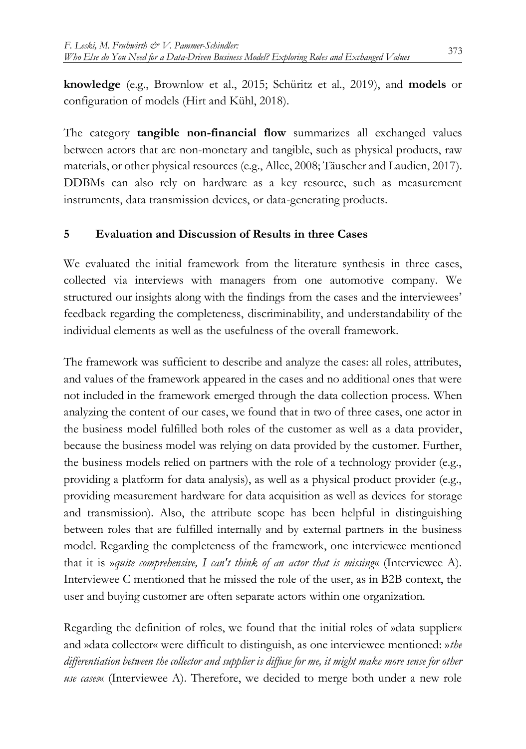**knowledge** (e.g., Brownlow et al., 2015; Schüritz et al., 2019), and **models** or configuration of models (Hirt and Kühl, 2018).

The category **tangible non-financial flow** summarizes all exchanged values between actors that are non-monetary and tangible, such as physical products, raw materials, or other physical resources (e.g., Allee, 2008; Täuscher and Laudien, 2017). DDBMs can also rely on hardware as a key resource, such as measurement instruments, data transmission devices, or data-generating products.

# **5 Evaluation and Discussion of Results in three Cases**

We evaluated the initial framework from the literature synthesis in three cases, collected via interviews with managers from one automotive company. We structured our insights along with the findings from the cases and the interviewees' feedback regarding the completeness, discriminability, and understandability of the individual elements as well as the usefulness of the overall framework.

The framework was sufficient to describe and analyze the cases: all roles, attributes, and values of the framework appeared in the cases and no additional ones that were not included in the framework emerged through the data collection process. When analyzing the content of our cases, we found that in two of three cases, one actor in the business model fulfilled both roles of the customer as well as a data provider, because the business model was relying on data provided by the customer. Further, the business models relied on partners with the role of a technology provider (e.g., providing a platform for data analysis), as well as a physical product provider (e.g., providing measurement hardware for data acquisition as well as devices for storage and transmission). Also, the attribute scope has been helpful in distinguishing between roles that are fulfilled internally and by external partners in the business model. Regarding the completeness of the framework, one interviewee mentioned that it is »*quite comprehensive, I can't think of an actor that is missing*« (Interviewee A). Interviewee C mentioned that he missed the role of the user, as in B2B context, the user and buying customer are often separate actors within one organization.

Regarding the definition of roles, we found that the initial roles of »data supplier« and »data collector« were difficult to distinguish, as one interviewee mentioned: »*the differentiation between the collector and supplier is diffuse for me, it might make more sense for other use cases*« (Interviewee A). Therefore, we decided to merge both under a new role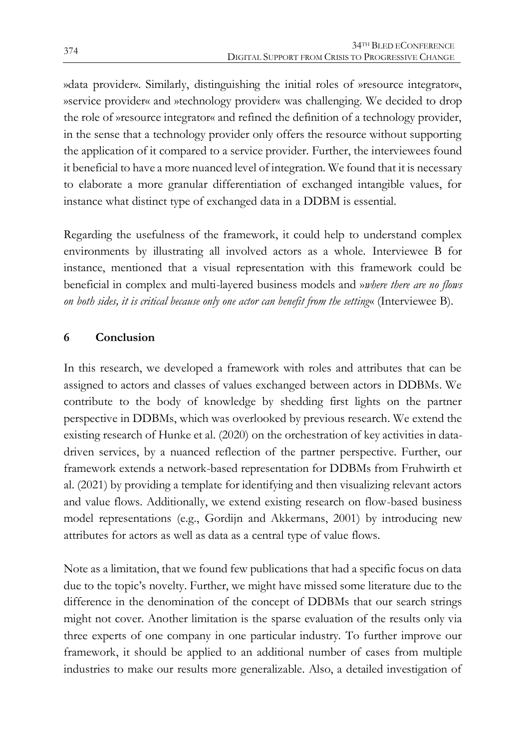»data provider«. Similarly, distinguishing the initial roles of »resource integrator«, »service provider« and »technology provider« was challenging. We decided to drop the role of »resource integrator« and refined the definition of a technology provider, in the sense that a technology provider only offers the resource without supporting the application of it compared to a service provider. Further, the interviewees found it beneficial to have a more nuanced level of integration. We found that it is necessary to elaborate a more granular differentiation of exchanged intangible values, for instance what distinct type of exchanged data in a DDBM is essential.

Regarding the usefulness of the framework, it could help to understand complex environments by illustrating all involved actors as a whole. Interviewee B for instance, mentioned that a visual representation with this framework could be beneficial in complex and multi-layered business models and »*where there are no flows on both sides, it is critical because only one actor can benefit from the setting*« (Interviewee B).

# **6 Conclusion**

In this research, we developed a framework with roles and attributes that can be assigned to actors and classes of values exchanged between actors in DDBMs. We contribute to the body of knowledge by shedding first lights on the partner perspective in DDBMs, which was overlooked by previous research. We extend the existing research of Hunke et al. (2020) on the orchestration of key activities in datadriven services, by a nuanced reflection of the partner perspective. Further, our framework extends a network-based representation for DDBMs from Fruhwirth et al. (2021) by providing a template for identifying and then visualizing relevant actors and value flows. Additionally, we extend existing research on flow-based business model representations (e.g., Gordijn and Akkermans, 2001) by introducing new attributes for actors as well as data as a central type of value flows.

Note as a limitation, that we found few publications that had a specific focus on data due to the topic's novelty. Further, we might have missed some literature due to the difference in the denomination of the concept of DDBMs that our search strings might not cover. Another limitation is the sparse evaluation of the results only via three experts of one company in one particular industry. To further improve our framework, it should be applied to an additional number of cases from multiple industries to make our results more generalizable. Also, a detailed investigation of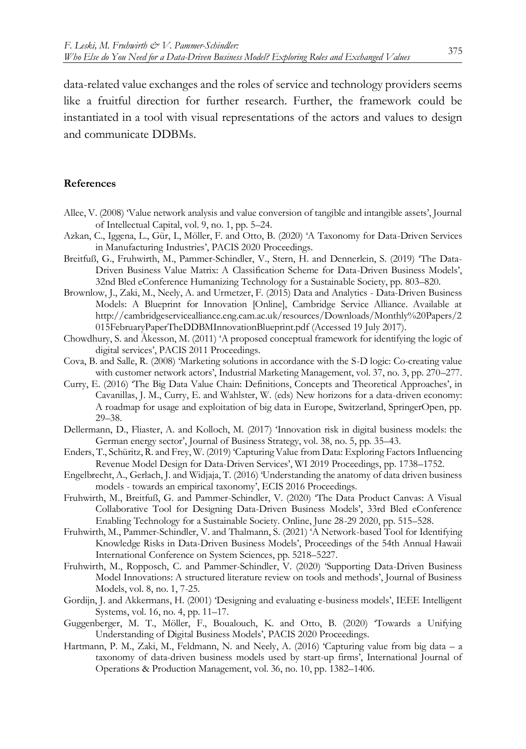data-related value exchanges and the roles of service and technology providers seems like a fruitful direction for further research. Further, the framework could be instantiated in a tool with visual representations of the actors and values to design and communicate DDBMs.

#### **References**

- Allee, V. (2008) 'Value network analysis and value conversion of tangible and intangible assets', Journal of Intellectual Capital, vol. 9, no. 1, pp. 5–24.
- Azkan, C., Iggena, L., Gür, I., Möller, F. and Otto, B. (2020) 'A Taxonomy for Data-Driven Services in Manufacturing Industries', PACIS 2020 Proceedings.
- Breitfuß, G., Fruhwirth, M., Pammer-Schindler, V., Stern, H. and Dennerlein, S. (2019) 'The Data-Driven Business Value Matrix: A Classification Scheme for Data-Driven Business Models', 32nd Bled eConference Humanizing Technology for a Sustainable Society, pp. 803–820.
- Brownlow, J., Zaki, M., Neely, A. and Urmetzer, F. (2015) Data and Analytics Data-Driven Business Models: A Blueprint for Innovation [Online], Cambridge Service Alliance. Available at http://cambridgeservicealliance.eng.cam.ac.uk/resources/Downloads/Monthly%20Papers/2 015FebruaryPaperTheDDBMInnovationBlueprint.pdf (Accessed 19 July 2017).
- Chowdhury, S. and Åkesson, M. (2011) 'A proposed conceptual framework for identifying the logic of digital services', PACIS 2011 Proceedings.
- Cova, B. and Salle, R. (2008) 'Marketing solutions in accordance with the S-D logic: Co-creating value with customer network actors', Industrial Marketing Management, vol. 37, no. 3, pp. 270–277.
- Curry, E. (2016) 'The Big Data Value Chain: Definitions, Concepts and Theoretical Approaches', in Cavanillas, J. M., Curry, E. and Wahlster, W. (eds) New horizons for a data-driven economy: A roadmap for usage and exploitation of big data in Europe, Switzerland, SpringerOpen, pp. 29–38.
- Dellermann, D., Fliaster, A. and Kolloch, M. (2017) 'Innovation risk in digital business models: the German energy sector', Journal of Business Strategy, vol. 38, no. 5, pp. 35–43.
- Enders, T., Schüritz, R. and Frey, W. (2019) 'Capturing Value from Data: Exploring Factors Influencing Revenue Model Design for Data-Driven Services', WI 2019 Proceedings, pp. 1738–1752.
- Engelbrecht, A., Gerlach, J. and Widjaja, T. (2016) 'Understanding the anatomy of data driven business models - towards an empirical taxonomy', ECIS 2016 Proceedings.
- Fruhwirth, M., Breitfuß, G. and Pammer-Schindler, V. (2020) 'The Data Product Canvas: A Visual Collaborative Tool for Designing Data-Driven Business Models', 33rd Bled eConference Enabling Technology for a Sustainable Society. Online, June 28-29 2020, pp. 515–528.
- Fruhwirth, M., Pammer-Schindler, V. and Thalmann, S. (2021) 'A Network-based Tool for Identifying Knowledge Risks in Data-Driven Business Models', Proceedings of the 54th Annual Hawaii International Conference on System Sciences, pp. 5218–5227.
- Fruhwirth, M., Ropposch, C. and Pammer-Schindler, V. (2020) 'Supporting Data-Driven Business Model Innovations: A structured literature review on tools and methods', Journal of Business Models, vol. 8, no. 1, 7-25.
- Gordijn, J. and Akkermans, H. (2001) 'Designing and evaluating e-business models', IEEE Intelligent Systems, vol. 16, no. 4, pp. 11–17.
- Guggenberger, M. T., Möller, F., Boualouch, K. and Otto, B. (2020) 'Towards a Unifying Understanding of Digital Business Models', PACIS 2020 Proceedings.
- Hartmann, P. M., Zaki, M., Feldmann, N. and Neely, A. (2016) 'Capturing value from big data a taxonomy of data-driven business models used by start-up firms', International Journal of Operations & Production Management, vol. 36, no. 10, pp. 1382–1406.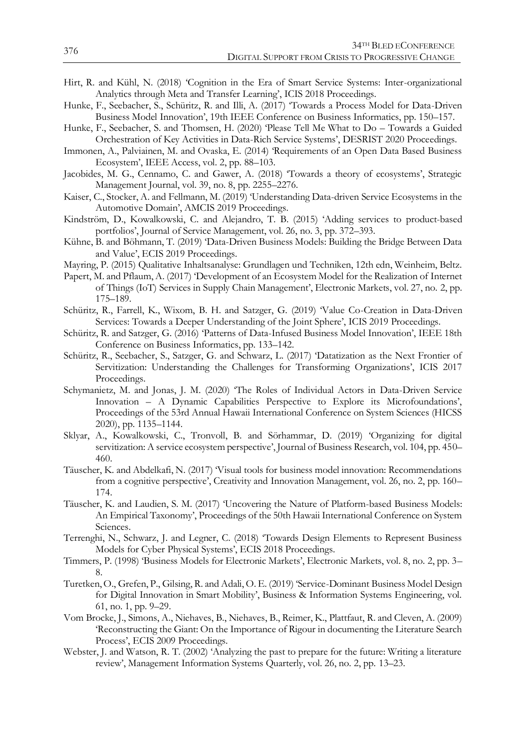- Hirt, R. and Kühl, N. (2018) 'Cognition in the Era of Smart Service Systems: Inter-organizational Analytics through Meta and Transfer Learning', ICIS 2018 Proceedings.
- Hunke, F., Seebacher, S., Schüritz, R. and Illi, A. (2017) 'Towards a Process Model for Data-Driven Business Model Innovation', 19th IEEE Conference on Business Informatics, pp. 150–157.
- Hunke, F., Seebacher, S. and Thomsen, H. (2020) 'Please Tell Me What to Do Towards a Guided Orchestration of Key Activities in Data-Rich Service Systems', DESRIST 2020 Proceedings.
- Immonen, A., Palviainen, M. and Ovaska, E. (2014) 'Requirements of an Open Data Based Business Ecosystem', IEEE Access, vol. 2, pp. 88–103.
- Jacobides, M. G., Cennamo, C. and Gawer, A. (2018) 'Towards a theory of ecosystems', Strategic Management Journal, vol. 39, no. 8, pp. 2255–2276.
- Kaiser, C., Stocker, A. and Fellmann, M. (2019) 'Understanding Data-driven Service Ecosystems in the Automotive Domain', AMCIS 2019 Proceedings.
- Kindström, D., Kowalkowski, C. and Alejandro, T. B. (2015) 'Adding services to product-based portfolios', Journal of Service Management, vol. 26, no. 3, pp. 372–393.
- Kühne, B. and Böhmann, T. (2019) 'Data-Driven Business Models: Building the Bridge Between Data and Value', ECIS 2019 Proceedings.
- Mayring, P. (2015) Qualitative Inhaltsanalyse: Grundlagen und Techniken, 12th edn, Weinheim, Beltz.
- Papert, M. and Pflaum, A. (2017) 'Development of an Ecosystem Model for the Realization of Internet of Things (IoT) Services in Supply Chain Management', Electronic Markets, vol. 27, no. 2, pp. 175–189.
- Schüritz, R., Farrell, K., Wixom, B. H. and Satzger, G. (2019) 'Value Co-Creation in Data-Driven Services: Towards a Deeper Understanding of the Joint Sphere', ICIS 2019 Proceedings.
- Schüritz, R. and Satzger, G. (2016) 'Patterns of Data-Infused Business Model Innovation', IEEE 18th Conference on Business Informatics, pp. 133–142.
- Schüritz, R., Seebacher, S., Satzger, G. and Schwarz, L. (2017) 'Datatization as the Next Frontier of Servitization: Understanding the Challenges for Transforming Organizations', ICIS 2017 Proceedings.
- Schymanietz, M. and Jonas, J. M. (2020) 'The Roles of Individual Actors in Data-Driven Service Innovation – A Dynamic Capabilities Perspective to Explore its Microfoundations', Proceedings of the 53rd Annual Hawaii International Conference on System Sciences (HICSS 2020), pp. 1135–1144.
- Sklyar, A., Kowalkowski, C., Tronvoll, B. and Sörhammar, D. (2019) 'Organizing for digital servitization: A service ecosystem perspective', Journal of Business Research, vol. 104, pp. 450– 460.
- Täuscher, K. and Abdelkafi, N. (2017) 'Visual tools for business model innovation: Recommendations from a cognitive perspective', Creativity and Innovation Management, vol. 26, no. 2, pp. 160– 174.
- Täuscher, K. and Laudien, S. M. (2017) 'Uncovering the Nature of Platform-based Business Models: An Empirical Taxonomy', Proceedings of the 50th Hawaii International Conference on System Sciences.
- Terrenghi, N., Schwarz, J. and Legner, C. (2018) 'Towards Design Elements to Represent Business Models for Cyber Physical Systems', ECIS 2018 Proceedings.
- Timmers, P. (1998) 'Business Models for Electronic Markets', Electronic Markets, vol. 8, no. 2, pp. 3– 8.
- Turetken, O., Grefen, P., Gilsing, R. and Adali, O. E. (2019) 'Service-Dominant Business Model Design for Digital Innovation in Smart Mobility', Business & Information Systems Engineering, vol. 61, no. 1, pp. 9–29.
- Vom Brocke, J., Simons, A., Niehaves, B., Niehaves, B., Reimer, K., Plattfaut, R. and Cleven, A. (2009) 'Reconstructing the Giant: On the Importance of Rigour in documenting the Literature Search Process', ECIS 2009 Proceedings.
- Webster, J. and Watson, R. T. (2002) 'Analyzing the past to prepare for the future: Writing a literature review', Management Information Systems Quarterly, vol. 26, no. 2, pp. 13–23.